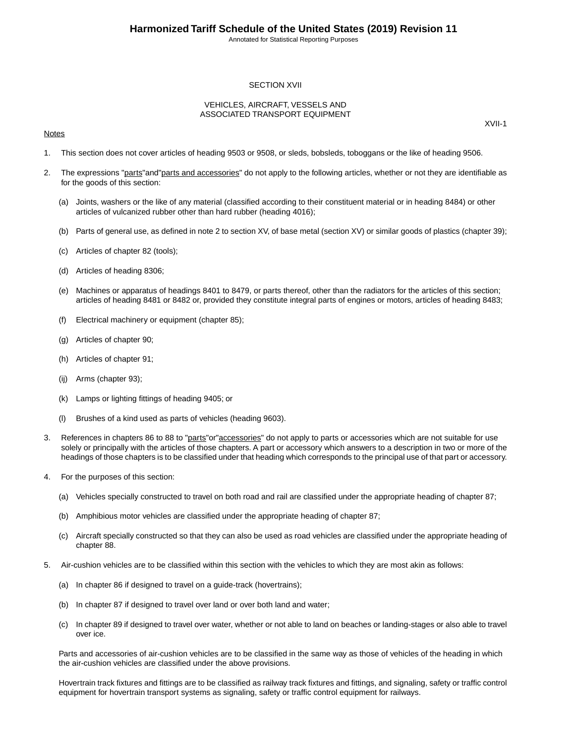Annotated for Statistical Reporting Purposes

### SECTION XVII

### VEHICLES, AIRCRAFT, VESSELS AND ASSOCIATED TRANSPORT EQUIPMENT

#### **Notes**

XVII-1

- 1. This section does not cover articles of heading 9503 or 9508, or sleds, bobsleds, toboggans or the like of heading 9506.
- 2. The expressions "parts" and "parts and accessories" do not apply to the following articles, whether or not they are identifiable as for the goods of this section:
	- (a) Joints, washers or the like of any material (classified according to their constituent material or in heading 8484) or other articles of vulcanized rubber other than hard rubber (heading 4016);
	- (b) Parts of general use, as defined in note 2 to section XV, of base metal (section XV) or similar goods of plastics (chapter 39);
	- (c) Articles of chapter 82 (tools);
	- (d) Articles of heading 8306;
	- (e) Machines or apparatus of headings 8401 to 8479, or parts thereof, other than the radiators for the articles of this section; articles of heading 8481 or 8482 or, provided they constitute integral parts of engines or motors, articles of heading 8483;
	- (f) Electrical machinery or equipment (chapter 85);
	- (g) Articles of chapter 90;
	- (h) Articles of chapter 91;
	- (ij) Arms (chapter 93);
	- (k) Lamps or lighting fittings of heading 9405; or
	- (l) Brushes of a kind used as parts of vehicles (heading 9603).
- 3. References in chapters 86 to 88 to "parts"or"accessories" do not apply to parts or accessories which are not suitable for use solely or principally with the articles of those chapters. A part or accessory which answers to a description in two or more of the headings of those chapters is to be classified under that heading which corresponds to the principal use of that part or accessory.
- 4. For the purposes of this section:
	- (a) Vehicles specially constructed to travel on both road and rail are classified under the appropriate heading of chapter 87;
	- (b) Amphibious motor vehicles are classified under the appropriate heading of chapter 87;
	- (c) Aircraft specially constructed so that they can also be used as road vehicles are classified under the appropriate heading of chapter 88.
- 5. Air-cushion vehicles are to be classified within this section with the vehicles to which they are most akin as follows:
	- (a) In chapter 86 if designed to travel on a guide-track (hovertrains);
	- (b) In chapter 87 if designed to travel over land or over both land and water;
	- (c) In chapter 89 if designed to travel over water, whether or not able to land on beaches or landing-stages or also able to travel over ice.

Parts and accessories of air-cushion vehicles are to be classified in the same way as those of vehicles of the heading in which the air-cushion vehicles are classified under the above provisions.

Hovertrain track fixtures and fittings are to be classified as railway track fixtures and fittings, and signaling, safety or traffic control equipment for hovertrain transport systems as signaling, safety or traffic control equipment for railways.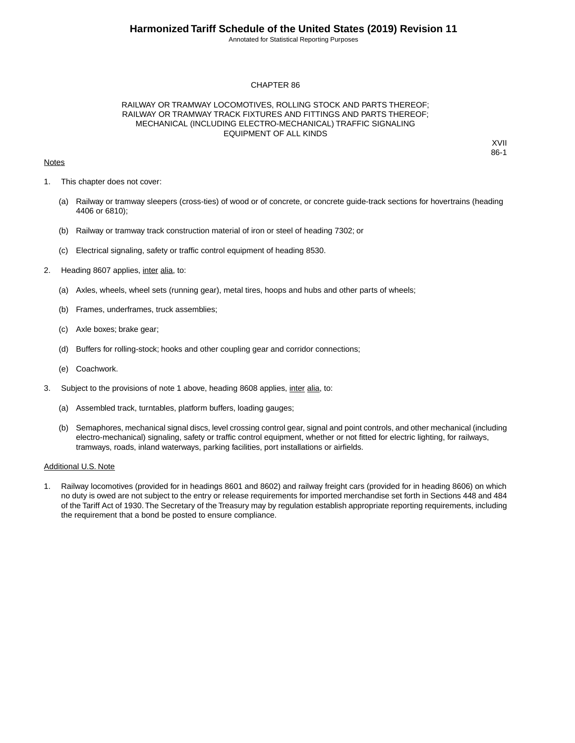Annotated for Statistical Reporting Purposes

### CHAPTER 86

### RAILWAY OR TRAMWAY LOCOMOTIVES, ROLLING STOCK AND PARTS THEREOF; RAILWAY OR TRAMWAY TRACK FIXTURES AND FITTINGS AND PARTS THEREOF; MECHANICAL (INCLUDING ELECTRO-MECHANICAL) TRAFFIC SIGNALING EQUIPMENT OF ALL KINDS

### **Notes**

XVII 86-1

- 1. This chapter does not cover:
	- (a) Railway or tramway sleepers (cross-ties) of wood or of concrete, or concrete guide-track sections for hovertrains (heading 4406 or 6810);
	- (b) Railway or tramway track construction material of iron or steel of heading 7302; or
	- (c) Electrical signaling, safety or traffic control equipment of heading 8530.
- 2. Heading 8607 applies, inter alia, to:
	- (a) Axles, wheels, wheel sets (running gear), metal tires, hoops and hubs and other parts of wheels;
	- (b) Frames, underframes, truck assemblies;
	- (c) Axle boxes; brake gear;
	- (d) Buffers for rolling-stock; hooks and other coupling gear and corridor connections;
	- (e) Coachwork.
- 3. Subject to the provisions of note 1 above, heading 8608 applies, inter alia, to:
	- (a) Assembled track, turntables, platform buffers, loading gauges;
	- (b) Semaphores, mechanical signal discs, level crossing control gear, signal and point controls, and other mechanical (including electro-mechanical) signaling, safety or traffic control equipment, whether or not fitted for electric lighting, for railways, tramways, roads, inland waterways, parking facilities, port installations or airfields.

#### Additional U.S. Note

1. Railway locomotives (provided for in headings 8601 and 8602) and railway freight cars (provided for in heading 8606) on which no duty is owed are not subject to the entry or release requirements for imported merchandise set forth in Sections 448 and 484 of the Tariff Act of 1930.The Secretary of the Treasury may by regulation establish appropriate reporting requirements, including the requirement that a bond be posted to ensure compliance.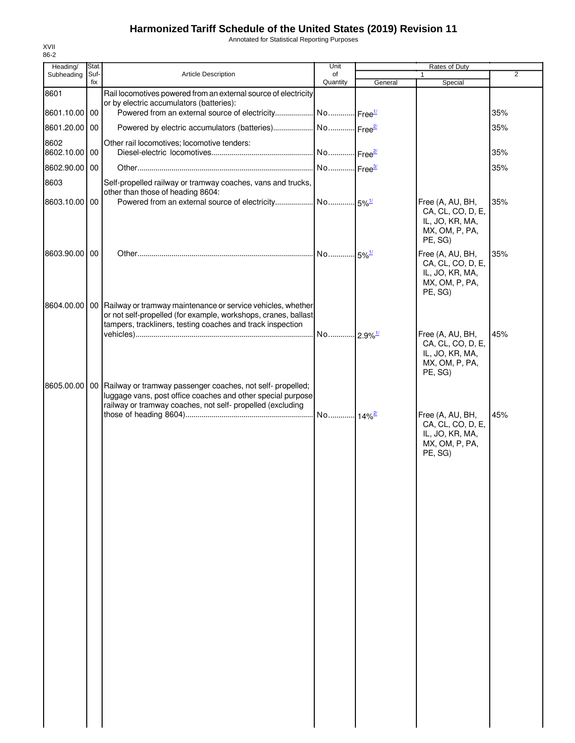Annotated for Statistical Reporting Purposes

| Heading/              | Stat. |                                                                                                                                                                                                               | Unit     |         |                                                                                       |                |
|-----------------------|-------|---------------------------------------------------------------------------------------------------------------------------------------------------------------------------------------------------------------|----------|---------|---------------------------------------------------------------------------------------|----------------|
| Subheading            | Suf-  | Article Description                                                                                                                                                                                           | of       |         | 1                                                                                     | $\overline{2}$ |
| 8601                  | fix   | Rail locomotives powered from an external source of electricity                                                                                                                                               | Quantity | General | Special                                                                               |                |
| 8601.10.00 00         |       | or by electric accumulators (batteries):<br>Powered from an external source of electricity No Free <sup>1/</sup>                                                                                              |          |         |                                                                                       | 35%            |
| 8601.20.00 00         |       | Powered by electric accumulators (batteries)  No  Free <sup>27</sup>                                                                                                                                          |          |         |                                                                                       | 35%            |
| 8602<br>8602.10.00 00 |       | Other rail locomotives; locomotive tenders:                                                                                                                                                                   |          |         |                                                                                       | 35%            |
| 8602.90.00 00         |       |                                                                                                                                                                                                               |          |         |                                                                                       | 35%            |
| 8603                  |       | Self-propelled railway or tramway coaches, vans and trucks,<br>other than those of heading 8604:                                                                                                              |          |         |                                                                                       |                |
| 8603.10.00 00         |       |                                                                                                                                                                                                               |          |         | Free (A, AU, BH,<br>CA, CL, CO, D, E,<br>IL, JO, KR, MA,<br>MX, OM, P, PA,<br>PE, SG) | 35%            |
| 8603.90.00 00         |       |                                                                                                                                                                                                               |          |         | Free (A, AU, BH,<br>CA, CL, CO, D, E,<br>IL, JO, KR, MA,<br>MX, OM, P, PA,<br>PE, SG) | 35%            |
|                       |       | 8604.00.00   00   Railway or tramway maintenance or service vehicles, whether<br>or not self-propelled (for example, workshops, cranes, ballast<br>tampers, trackliners, testing coaches and track inspection |          |         |                                                                                       |                |
|                       |       |                                                                                                                                                                                                               |          |         | Free (A, AU, BH,<br>CA, CL, CO, D, E,<br>IL, JO, KR, MA,<br>MX, OM, P, PA,<br>PE, SG) | 45%            |
|                       |       | 8605.00.00   00   Railway or tramway passenger coaches, not self- propelled;<br>luggage vans, post office coaches and other special purpose<br>railway or tramway coaches, not self- propelled (excluding     |          |         |                                                                                       |                |
|                       |       |                                                                                                                                                                                                               |          |         | Free (A, AU, BH,<br>CA, CL, CO, D, E,<br>IL, JO, KR, MA,<br>MX, OM, P, PA,<br>PE, SG) | 45%            |
|                       |       |                                                                                                                                                                                                               |          |         |                                                                                       |                |
|                       |       |                                                                                                                                                                                                               |          |         |                                                                                       |                |
|                       |       |                                                                                                                                                                                                               |          |         |                                                                                       |                |
|                       |       |                                                                                                                                                                                                               |          |         |                                                                                       |                |
|                       |       |                                                                                                                                                                                                               |          |         |                                                                                       |                |
|                       |       |                                                                                                                                                                                                               |          |         |                                                                                       |                |
|                       |       |                                                                                                                                                                                                               |          |         |                                                                                       |                |
|                       |       |                                                                                                                                                                                                               |          |         |                                                                                       |                |
|                       |       |                                                                                                                                                                                                               |          |         |                                                                                       |                |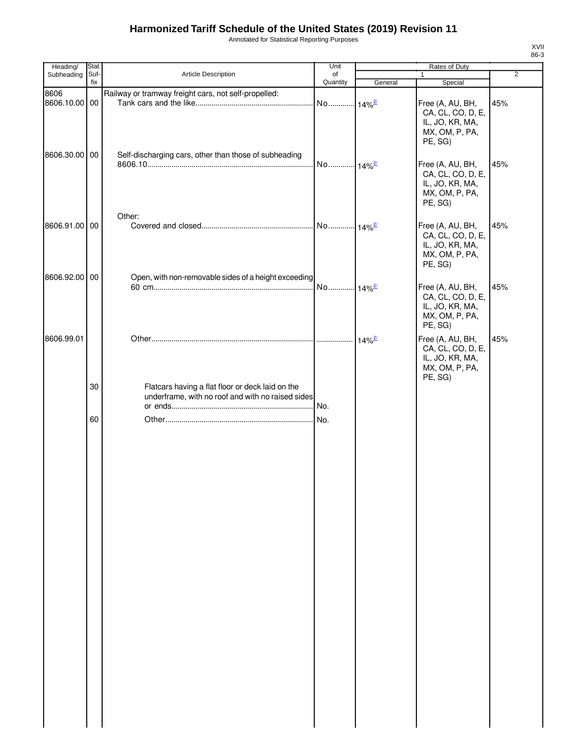Annotated for Statistical Reporting Purposes

| Heading/                               | Stat.       |                                                                                                               | Unit                 |                      |                                                                                       |                |
|----------------------------------------|-------------|---------------------------------------------------------------------------------------------------------------|----------------------|----------------------|---------------------------------------------------------------------------------------|----------------|
| Subheading                             | Suf-<br>fix | Article Description                                                                                           | of<br>Quantity       | General              | 1                                                                                     | $\overline{2}$ |
|                                        |             |                                                                                                               |                      |                      | Special                                                                               |                |
| 8606<br>8606.10.00 00<br>8606.30.00 00 |             | Railway or tramway freight cars, not self-propelled:<br>Self-discharging cars, other than those of subheading | No 14% <sup>2/</sup> |                      | Free (A, AU, BH,<br>CA, CL, CO, D, E,<br>IL, JO, KR, MA,<br>MX, OM, P, PA,<br>PE, SG) | 45%            |
|                                        |             |                                                                                                               | No 14% <sup>2/</sup> |                      | Free (A, AU, BH,<br>CA, CL, CO, D, E,<br>IL, JO, KR, MA,<br>MX, OM, P, PA,<br>PE, SG) | 45%            |
| 8606.91.00 00                          |             | Other:                                                                                                        |                      |                      | Free (A, AU, BH,<br>CA, CL, CO, D, E,<br>IL, JO, KR, MA,<br>MX, OM, P, PA,<br>PE, SG) | 45%            |
| 8606.92.00 00                          |             | Open, with non-removable sides of a height exceeding                                                          | No 14% <sup>2/</sup> |                      | Free (A, AU, BH,<br>CA, CL, CO, D, E,<br>IL, JO, KR, MA,<br>MX, OM, P, PA,<br>PE, SG) | 45%            |
| 8606.99.01                             |             |                                                                                                               |                      | $14\%$ <sup>2/</sup> | Free (A, AU, BH,<br>CA, CL, CO, D, E,<br>IL, JO, KR, MA,<br>MX, OM, P, PA,<br>PE, SG) | 45%            |
|                                        | 30          | Flatcars having a flat floor or deck laid on the<br>underframe, with no roof and with no raised sides         | No.                  |                      |                                                                                       |                |
|                                        | 60          |                                                                                                               | . No.                |                      |                                                                                       |                |
|                                        |             |                                                                                                               |                      |                      |                                                                                       |                |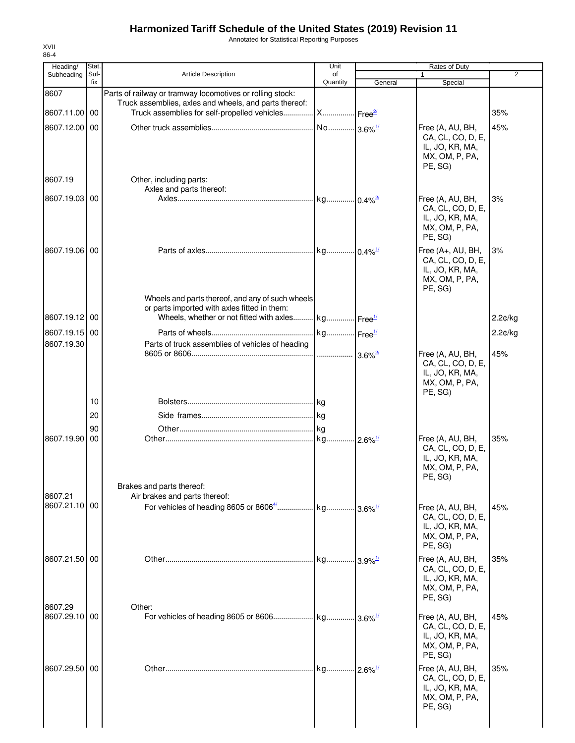Annotated for Statistical Reporting Purposes

| Heading/                 | Stat.       |                                                                                                  | Unit                    |                         | Rates of Duty                                                                          |                |
|--------------------------|-------------|--------------------------------------------------------------------------------------------------|-------------------------|-------------------------|----------------------------------------------------------------------------------------|----------------|
| Subheading               | Suf-<br>fix | <b>Article Description</b>                                                                       | of<br>Quantity          | General                 | Special                                                                                | $\overline{2}$ |
| 8607                     |             | Parts of railway or tramway locomotives or rolling stock:                                        |                         |                         |                                                                                        |                |
|                          |             | Truck assemblies, axles and wheels, and parts thereof:                                           |                         |                         |                                                                                        |                |
| 8607.11.00 00            |             | Truck assemblies for self-propelled vehicles                                                     | X Free <sup>21</sup>    |                         |                                                                                        | 35%            |
| 8607.12.00 00            |             |                                                                                                  | No 3.6% <sup>1/</sup>   |                         | Free (A, AU, BH,<br>CA, CL, CO, D, E,<br>IL, JO, KR, MA,<br>MX, OM, P, PA,<br>PE, SG)  | 45%            |
| 8607.19                  |             | Other, including parts:<br>Axles and parts thereof:                                              |                         |                         |                                                                                        |                |
| 8607.19.03 00            |             |                                                                                                  |                         |                         | Free (A, AU, BH,                                                                       | 3%             |
|                          |             |                                                                                                  |                         |                         | CA, CL, CO, D, E,<br>IL, JO, KR, MA,<br>MX, OM, P, PA,<br>PE, SG)                      |                |
| 8607.19.06 00            |             |                                                                                                  |                         |                         | Free (A+, AU, BH,<br>CA, CL, CO, D, E,<br>IL, JO, KR, MA,<br>MX, OM, P, PA,<br>PE, SG) | 3%             |
|                          |             | Wheels and parts thereof, and any of such wheels<br>or parts imported with axles fitted in them: |                         |                         |                                                                                        |                |
| 8607.19.12 00            |             | Wheels, whether or not fitted with axles kg                                                      |                         | Free <sup>1/</sup>      |                                                                                        | 2.2¢/kg        |
| 8607.19.15 00            |             |                                                                                                  | kg Free <sup>1/</sup>   |                         |                                                                                        | 2.2¢/kg        |
| 8607.19.30               |             | Parts of truck assemblies of vehicles of heading                                                 |                         |                         |                                                                                        |                |
|                          |             |                                                                                                  |                         |                         | Free (A, AU, BH,<br>CA, CL, CO, D, E,<br>IL, JO, KR, MA,<br>MX, OM, P, PA,<br>PE, SG)  | 45%            |
|                          | 10          |                                                                                                  |                         |                         |                                                                                        |                |
|                          | 20          |                                                                                                  |                         |                         |                                                                                        |                |
|                          | 90          |                                                                                                  |                         |                         |                                                                                        |                |
| 8607.19.90               | 00          | Brakes and parts thereof:                                                                        |                         | $-2.6\%$ <sup>1/</sup>  | Free (A, AU, BH,<br>CA, CL, CO, D, E,<br>IL, JO, KR, MA,<br>MX, OM, P, PA,<br>PE, SG)  | 35%            |
| 8607.21                  |             | Air brakes and parts thereof:                                                                    |                         |                         |                                                                                        |                |
| 8607.21.10 00            |             |                                                                                                  |                         |                         | Free (A, AU, BH,<br>CA, CL, CO, D, E,<br>IL, JO, KR, MA,<br>MX, OM, P, PA,<br>PE, SG)  | 45%            |
| 8607.21.50 00            |             |                                                                                                  | . kg                    | $.13.9\%$ <sup>1/</sup> | Free (A, AU, BH,<br>CA, CL, CO, D, E,<br>IL, JO, KR, MA,<br>MX, OM, P, PA,<br>PE, SG)  | 35%            |
| 8607.29<br>8607.29.10 00 |             | Other:                                                                                           |                         |                         | Free (A, AU, BH,<br>CA, CL, CO, D, E,<br>IL, JO, KR, MA,<br>MX, OM, P, PA,<br>PE, SG)  | 45%            |
| 8607.29.50 00            |             |                                                                                                  | . kg 2.6% <sup>1/</sup> |                         | Free (A, AU, BH,<br>CA, CL, CO, D, E,<br>IL, JO, KR, MA,<br>MX, OM, P, PA,<br>PE, SG)  | 35%            |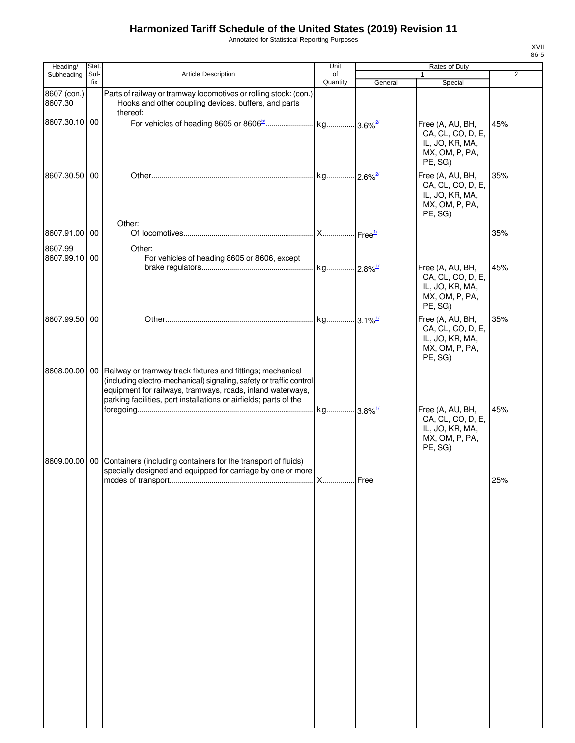Annotated for Statistical Reporting Purposes

| Heading/                 | Stat.       |                                                                                                                                                                                                                                                                                        | Unit           |         | <b>Rates of Duty</b>                                                                  |                |
|--------------------------|-------------|----------------------------------------------------------------------------------------------------------------------------------------------------------------------------------------------------------------------------------------------------------------------------------------|----------------|---------|---------------------------------------------------------------------------------------|----------------|
| Subheading               | Suf-<br>fix | Article Description                                                                                                                                                                                                                                                                    | of<br>Quantity | General | 1<br>Special                                                                          | $\overline{2}$ |
| 8607 (con.)<br>8607.30   |             | Parts of railway or tramway locomotives or rolling stock: (con.)<br>Hooks and other coupling devices, buffers, and parts<br>thereof:                                                                                                                                                   |                |         |                                                                                       |                |
| 8607.30.10 00            |             |                                                                                                                                                                                                                                                                                        |                |         | Free (A, AU, BH,<br>CA, CL, CO, D, E,<br>IL, JO, KR, MA,<br>MX, OM, P, PA,<br>PE, SG) | 45%            |
| 8607.30.50 00            |             |                                                                                                                                                                                                                                                                                        |                |         | Free (A, AU, BH,<br>CA, CL, CO, D, E,<br>IL, JO, KR, MA,<br>MX, OM, P, PA,<br>PE, SG) | 35%            |
| 8607.91.00 00            |             | Other:                                                                                                                                                                                                                                                                                 |                |         |                                                                                       | 35%            |
|                          |             |                                                                                                                                                                                                                                                                                        |                |         |                                                                                       |                |
| 8607.99<br>8607.99.10 00 |             | Other:<br>For vehicles of heading 8605 or 8606, except                                                                                                                                                                                                                                 |                |         | Free (A, AU, BH,<br>CA, CL, CO, D, E,<br>IL, JO, KR, MA,                              | 45%            |
| 8607.99.50 00            |             |                                                                                                                                                                                                                                                                                        |                |         | MX, OM, P, PA,<br>PE, SG)<br>Free (A, AU, BH,                                         | 35%            |
|                          |             |                                                                                                                                                                                                                                                                                        |                |         | CA, CL, CO, D, E,<br>IL, JO, KR, MA,<br>MX, OM, P, PA,<br>PE, SG)                     |                |
|                          |             | 8608.00.00   00   Railway or tramway track fixtures and fittings; mechanical<br>(including electro-mechanical) signaling, safety or traffic control<br>equipment for railways, tramways, roads, inland waterways,<br>parking facilities, port installations or airfields; parts of the |                |         | Free (A, AU, BH,                                                                      | 45%            |
|                          |             |                                                                                                                                                                                                                                                                                        |                |         | CA, CL, CO, D, E,<br>IL, JO, KR, MA,<br>MX, OM, P, PA,<br>PE, SG)                     |                |
|                          |             | 8609.00.00   00   Containers (including containers for the transport of fluids)<br>specially designed and equipped for carriage by one or more                                                                                                                                         | <b>X</b> Free  |         |                                                                                       | 25%            |
|                          |             |                                                                                                                                                                                                                                                                                        |                |         |                                                                                       |                |